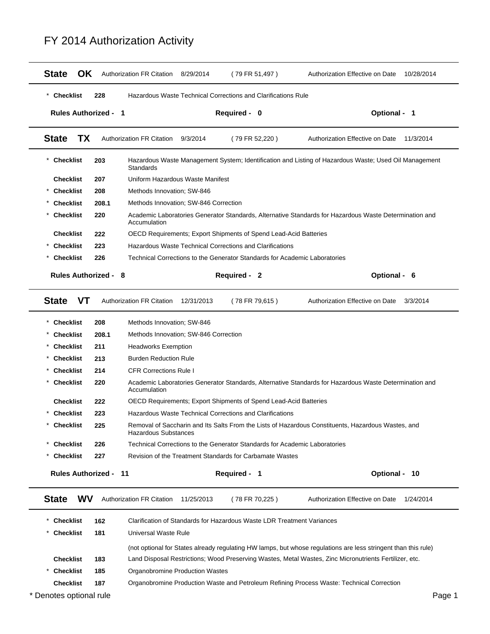| <b>OK</b><br><b>State</b>    |       | <b>Authorization FR Citation</b>                                                                                           | 8/29/2014<br>(79 FR 51,497)                                                                            | Authorization Effective on Date<br>10/28/2014                                                                  |  |  |  |
|------------------------------|-------|----------------------------------------------------------------------------------------------------------------------------|--------------------------------------------------------------------------------------------------------|----------------------------------------------------------------------------------------------------------------|--|--|--|
| <b>Checklist</b>             | 228   |                                                                                                                            | Hazardous Waste Technical Corrections and Clarifications Rule                                          |                                                                                                                |  |  |  |
| <b>Rules Authorized - 1</b>  |       |                                                                                                                            | Required - 0                                                                                           | Optional - 1                                                                                                   |  |  |  |
| <b>State</b><br>TX           |       | <b>Authorization FR Citation</b>                                                                                           | 9/3/2014<br>(79 FR 52,220)                                                                             | Authorization Effective on Date<br>11/3/2014                                                                   |  |  |  |
| <b>Checklist</b>             | 203   | Standards                                                                                                                  |                                                                                                        | Hazardous Waste Management System; Identification and Listing of Hazardous Waste; Used Oil Management          |  |  |  |
| <b>Checklist</b>             | 207   | Uniform Hazardous Waste Manifest                                                                                           |                                                                                                        |                                                                                                                |  |  |  |
| <b>Checklist</b>             | 208   | Methods Innovation; SW-846                                                                                                 |                                                                                                        |                                                                                                                |  |  |  |
| <b>Checklist</b>             | 208.1 | Methods Innovation; SW-846 Correction                                                                                      |                                                                                                        |                                                                                                                |  |  |  |
| <b>Checklist</b>             | 220   | Accumulation                                                                                                               |                                                                                                        | Academic Laboratories Generator Standards, Alternative Standards for Hazardous Waste Determination and         |  |  |  |
| <b>Checklist</b>             | 222   |                                                                                                                            | OECD Requirements; Export Shipments of Spend Lead-Acid Batteries                                       |                                                                                                                |  |  |  |
| <b>Checklist</b>             | 223   |                                                                                                                            | Hazardous Waste Technical Corrections and Clarifications                                               |                                                                                                                |  |  |  |
| <b>Checklist</b>             | 226   |                                                                                                                            | Technical Corrections to the Generator Standards for Academic Laboratories                             |                                                                                                                |  |  |  |
| <b>Rules Authorized - 8</b>  |       |                                                                                                                            | Required - 2                                                                                           | Optional - 6                                                                                                   |  |  |  |
| <b>VT</b><br><b>State</b>    |       | <b>Authorization FR Citation</b>                                                                                           | 12/31/2013                                                                                             | Authorization Effective on Date<br>3/3/2014                                                                    |  |  |  |
|                              |       |                                                                                                                            | (78 FR 79,615)                                                                                         |                                                                                                                |  |  |  |
| <b>Checklist</b>             | 208   | Methods Innovation; SW-846                                                                                                 |                                                                                                        |                                                                                                                |  |  |  |
| <b>Checklist</b>             | 208.1 | Methods Innovation; SW-846 Correction                                                                                      |                                                                                                        |                                                                                                                |  |  |  |
| <b>Checklist</b>             | 211   | <b>Headworks Exemption</b>                                                                                                 |                                                                                                        |                                                                                                                |  |  |  |
| <b>Checklist</b>             | 213   | <b>Burden Reduction Rule</b>                                                                                               |                                                                                                        |                                                                                                                |  |  |  |
| <b>Checklist</b>             | 214   | <b>CFR Corrections Rule I</b>                                                                                              |                                                                                                        |                                                                                                                |  |  |  |
| <b>Checklist</b>             | 220   | Accumulation                                                                                                               | Academic Laboratories Generator Standards, Alternative Standards for Hazardous Waste Determination and |                                                                                                                |  |  |  |
| <b>Checklist</b>             | 222   |                                                                                                                            | OECD Requirements; Export Shipments of Spend Lead-Acid Batteries                                       |                                                                                                                |  |  |  |
| <b>Checklist</b>             | 223   |                                                                                                                            | <b>Hazardous Waste Technical Corrections and Clarifications</b>                                        |                                                                                                                |  |  |  |
| <b>Checklist</b>             | 225   | Removal of Saccharin and Its Salts From the Lists of Hazardous Constituents, Hazardous Wastes, and<br>Hazardous Substances |                                                                                                        |                                                                                                                |  |  |  |
| <b>Checklist</b>             | 226   |                                                                                                                            | Technical Corrections to the Generator Standards for Academic Laboratories                             |                                                                                                                |  |  |  |
| <b>Checklist</b>             | 227   |                                                                                                                            | Revision of the Treatment Standards for Carbamate Wastes                                               |                                                                                                                |  |  |  |
| <b>Rules Authorized - 11</b> |       |                                                                                                                            | Required - 1                                                                                           | Optional - 10                                                                                                  |  |  |  |
|                              |       |                                                                                                                            |                                                                                                        |                                                                                                                |  |  |  |
| <b>State</b><br><b>WV</b>    |       | Authorization FR Citation                                                                                                  | 11/25/2013<br>(78 FR 70,225)                                                                           | Authorization Effective on Date 1/24/2014                                                                      |  |  |  |
| <b>Checklist</b>             | 162   |                                                                                                                            | Clarification of Standards for Hazardous Waste LDR Treatment Variances                                 |                                                                                                                |  |  |  |
| <b>Checklist</b>             | 181   | Universal Waste Rule                                                                                                       |                                                                                                        |                                                                                                                |  |  |  |
|                              |       |                                                                                                                            |                                                                                                        | (not optional for States already regulating HW lamps, but whose regulations are less stringent than this rule) |  |  |  |
| <b>Checklist</b>             | 183   |                                                                                                                            |                                                                                                        | Land Disposal Restrictions; Wood Preserving Wastes, Metal Wastes, Zinc Micronutrients Fertilizer, etc.         |  |  |  |
| <b>Checklist</b>             | 185   | Organobromine Production Wastes                                                                                            |                                                                                                        |                                                                                                                |  |  |  |
| <b>Checklist</b>             | 187   |                                                                                                                            |                                                                                                        | Organobromine Production Waste and Petroleum Refining Process Waste: Technical Correction                      |  |  |  |

## FY 2014 Authorization Activity

\* Denotes optional rule **Page 1**